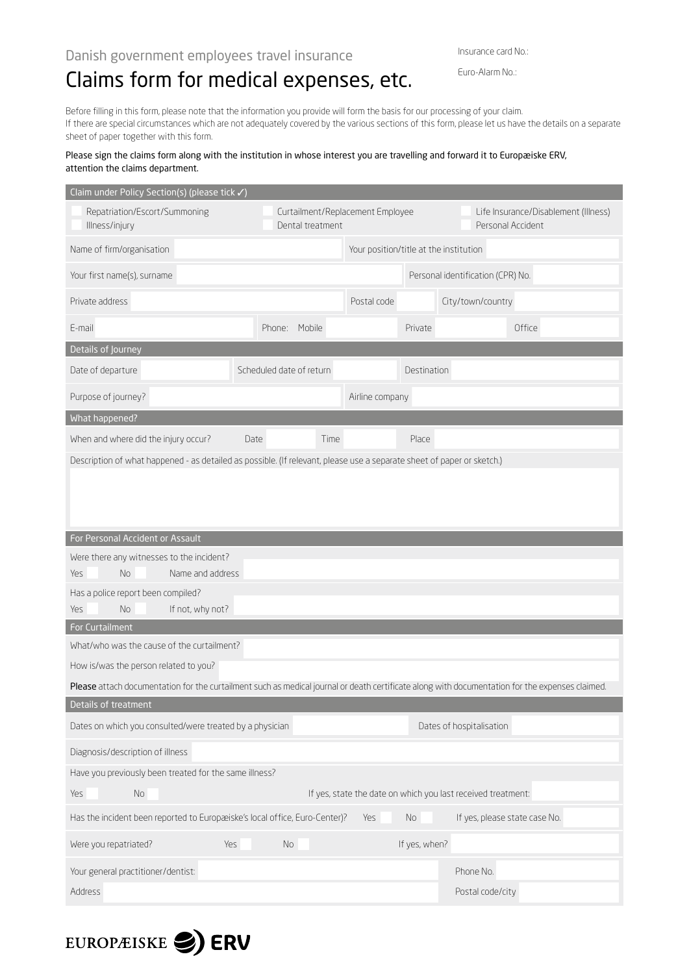Insurance card No.:

## Claims form for medical expenses, etc.

Euro-Alarm No.:

Before filling in this form, please note that the information you provide will form the basis for our processing of your claim. If there are special circumstances which are not adequately covered by the various sections of this form, please let us have the details on a separate sheet of paper together with this form.

## Please sign the claims form along with the institution in whose interest you are travelling and forward it to Europæiske ERV, attention the claims department.

| Claim under Policy Section(s) (please tick √)                                                                                                   |                          |                                        |                                                           |                                                              |  |  |  |  |
|-------------------------------------------------------------------------------------------------------------------------------------------------|--------------------------|----------------------------------------|-----------------------------------------------------------|--------------------------------------------------------------|--|--|--|--|
| Repatriation/Escort/Summoning<br>Illness/injury                                                                                                 | Dental treatment         | Curtailment/Replacement Employee       | Life Insurance/Disablement (Illness)<br>Personal Accident |                                                              |  |  |  |  |
| Name of firm/organisation                                                                                                                       |                          | Your position/title at the institution |                                                           |                                                              |  |  |  |  |
| Your first name(s), surname                                                                                                                     |                          |                                        | Personal identification (CPR) No.                         |                                                              |  |  |  |  |
| Private address                                                                                                                                 |                          | Postal code                            |                                                           | City/town/country                                            |  |  |  |  |
| E-mail                                                                                                                                          | Phone: Mobile            |                                        | Private                                                   | Office                                                       |  |  |  |  |
| Details of Journey                                                                                                                              |                          |                                        |                                                           |                                                              |  |  |  |  |
| Date of departure                                                                                                                               | Scheduled date of return |                                        |                                                           | Destination                                                  |  |  |  |  |
| Purpose of journey?                                                                                                                             |                          | Airline company                        |                                                           |                                                              |  |  |  |  |
| What happened?                                                                                                                                  |                          |                                        |                                                           |                                                              |  |  |  |  |
| When and where did the injury occur?                                                                                                            | Date<br>Time             |                                        | Place                                                     |                                                              |  |  |  |  |
| Description of what happened - as detailed as possible. (If relevant, please use a separate sheet of paper or sketch.)                          |                          |                                        |                                                           |                                                              |  |  |  |  |
|                                                                                                                                                 |                          |                                        |                                                           |                                                              |  |  |  |  |
|                                                                                                                                                 |                          |                                        |                                                           |                                                              |  |  |  |  |
|                                                                                                                                                 |                          |                                        |                                                           |                                                              |  |  |  |  |
| For Personal Accident or Assault                                                                                                                |                          |                                        |                                                           |                                                              |  |  |  |  |
| Were there any witnesses to the incident?                                                                                                       |                          |                                        |                                                           |                                                              |  |  |  |  |
| No.<br>Name and address<br><b>Yes</b>                                                                                                           |                          |                                        |                                                           |                                                              |  |  |  |  |
| Has a police report been compiled?<br>If not, why not?<br><b>No</b>                                                                             |                          |                                        |                                                           |                                                              |  |  |  |  |
| <b>Yes</b><br>For Curtailment                                                                                                                   |                          |                                        |                                                           |                                                              |  |  |  |  |
| What/who was the cause of the curtailment?                                                                                                      |                          |                                        |                                                           |                                                              |  |  |  |  |
| How is/was the person related to you?                                                                                                           |                          |                                        |                                                           |                                                              |  |  |  |  |
| Please attach documentation for the curtailment such as medical journal or death certificate along with documentation for the expenses claimed. |                          |                                        |                                                           |                                                              |  |  |  |  |
| Details of treatment                                                                                                                            |                          |                                        |                                                           |                                                              |  |  |  |  |
| Dates on which you consulted/were treated by a physician                                                                                        |                          |                                        |                                                           | Dates of hospitalisation                                     |  |  |  |  |
| Diagnosis/description of illness                                                                                                                |                          |                                        |                                                           |                                                              |  |  |  |  |
| Have you previously been treated for the same illness?                                                                                          |                          |                                        |                                                           |                                                              |  |  |  |  |
| No<br>Yes                                                                                                                                       |                          |                                        |                                                           | If yes, state the date on which you last received treatment: |  |  |  |  |
| Has the incident been reported to Europæiske's local office, Euro-Center)?                                                                      |                          | Yes                                    | No                                                        | If yes, please state case No.                                |  |  |  |  |
| Were you repatriated?<br>Yes                                                                                                                    | No                       |                                        | If yes, when?                                             |                                                              |  |  |  |  |
| Your general practitioner/dentist:                                                                                                              |                          |                                        |                                                           | Phone No.                                                    |  |  |  |  |
| Address                                                                                                                                         |                          |                                        |                                                           | Postal code/city                                             |  |  |  |  |